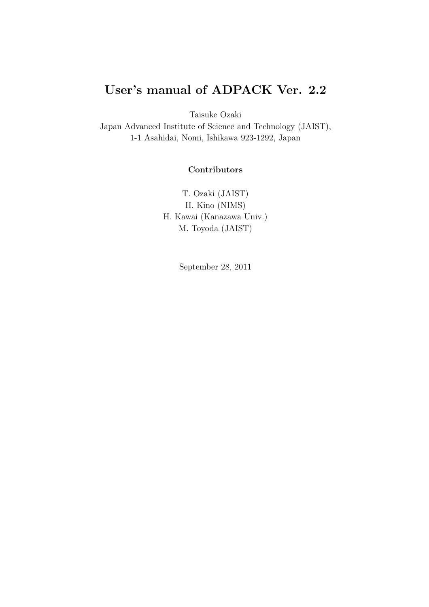# User's manual of ADPACK Ver. 2.2

Taisuke Ozaki

Japan Advanced Institute of Science and Technology (JAIST), 1-1 Asahidai, Nomi, Ishikawa 923-1292, Japan

## **Contributors**

T. Ozaki (JAIST) H. Kino (NIMS) H. Kawai (Kanazawa Univ.) M. Toyoda (JAIST)

September 28, 2011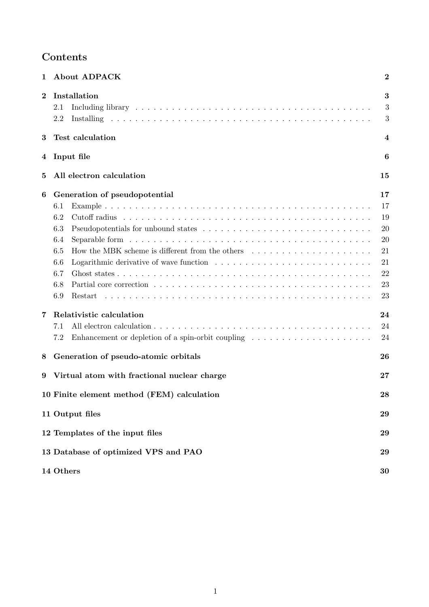# Contents

| 1        | <b>About ADPACK</b>                                                                                                                                                                                                                                                                                                                                                                                                    | $\boldsymbol{2}$                                                           |
|----------|------------------------------------------------------------------------------------------------------------------------------------------------------------------------------------------------------------------------------------------------------------------------------------------------------------------------------------------------------------------------------------------------------------------------|----------------------------------------------------------------------------|
| $\bf{2}$ | Installation<br>2.1<br>2.2                                                                                                                                                                                                                                                                                                                                                                                             | 3<br>3<br>3                                                                |
| 3        | <b>Test calculation</b>                                                                                                                                                                                                                                                                                                                                                                                                | 4                                                                          |
| 4        | Input file                                                                                                                                                                                                                                                                                                                                                                                                             | 6                                                                          |
| 5        | All electron calculation                                                                                                                                                                                                                                                                                                                                                                                               | 15                                                                         |
| 6<br>7   | Generation of pseudopotential<br>6.1<br>6.2<br>6.3<br>6.4<br>How the MBK scheme is different from the others results in the set of the MBK scheme is different from the others results in the MBK scheme is defined as $\sim$<br>6.5<br>6.6<br>6.7<br>6.8<br>6.9<br>Restart<br>Relativistic calculation<br>7.1<br>Enhancement or depletion of a spin-orbit coupling $\dots \dots \dots \dots \dots \dots \dots$<br>7.2 | 17<br>17<br>19<br>20<br>20<br>21<br>21<br>22<br>23<br>23<br>24<br>24<br>24 |
| 8        | Generation of pseudo-atomic orbitals                                                                                                                                                                                                                                                                                                                                                                                   | 26                                                                         |
| 9        | Virtual atom with fractional nuclear charge                                                                                                                                                                                                                                                                                                                                                                            | $27\,$                                                                     |
|          | 10 Finite element method (FEM) calculation                                                                                                                                                                                                                                                                                                                                                                             | 28                                                                         |
|          | 11 Output files                                                                                                                                                                                                                                                                                                                                                                                                        | 29                                                                         |
|          | 12 Templates of the input files                                                                                                                                                                                                                                                                                                                                                                                        | 29                                                                         |
|          | 13 Database of optimized VPS and PAO                                                                                                                                                                                                                                                                                                                                                                                   | 29                                                                         |
|          | 14 Others                                                                                                                                                                                                                                                                                                                                                                                                              | 30                                                                         |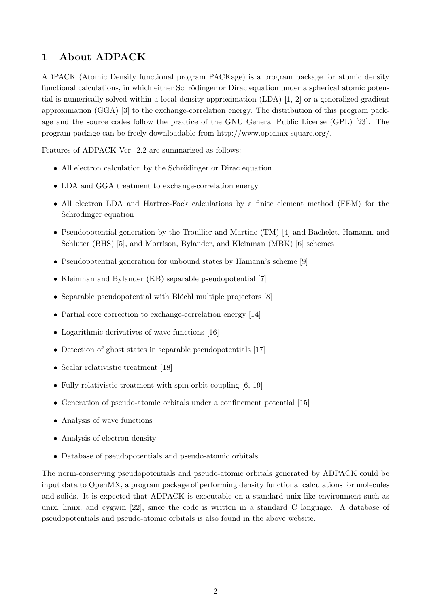## 1 About ADPACK

ADPACK (Atomic Density functional program PACKage) is a program package for atomic density functional calculations, in which either Schrödinger or Dirac equation under a spherical atomic potential is numerically solved within a local density approximation (LDA) [1, 2] or a generalized gradient approximation (GGA) [3] to the exchange-correlation energy. The distribution of this program package and the source codes follow the practice of the GNU General Public License (GPL) [23]. The program package can be freely downloadable from http://www.openmx-square.org/.

Features of ADPACK Ver. 2.2 are summarized as follows:

- All electron calculation by the Schrödinger or Dirac equation
- LDA and GGA treatment to exchange-correlation energy
- All electron LDA and Hartree-Fock calculations by a finite element method (FEM) for the Schrödinger equation
- Pseudopotential generation by the Troullier and Martine (TM) [4] and Bachelet, Hamann, and Schluter (BHS) [5], and Morrison, Bylander, and Kleinman (MBK) [6] schemes
- Pseudopotential generation for unbound states by Hamann's scheme [9]
- Kleinman and Bylander (KB) separable pseudopotential [7]
- Separable pseudopotential with Blöchl multiple projectors [8]
- Partial core correction to exchange-correlation energy [14]
- Logarithmic derivatives of wave functions [16]
- Detection of ghost states in separable pseudopotentials [17]
- Scalar relativistic treatment [18]
- Fully relativistic treatment with spin-orbit coupling [6, 19]
- Generation of pseudo-atomic orbitals under a confinement potential [15]
- Analysis of wave functions
- Analysis of electron density
- Database of pseudopotentials and pseudo-atomic orbitals

The norm-conserving pseudopotentials and pseudo-atomic orbitals generated by ADPACK could be input data to OpenMX, a program package of performing density functional calculations for molecules and solids. It is expected that ADPACK is executable on a standard unix-like environment such as unix, linux, and cygwin [22], since the code is written in a standard C language. A database of pseudopotentials and pseudo-atomic orbitals is also found in the above website.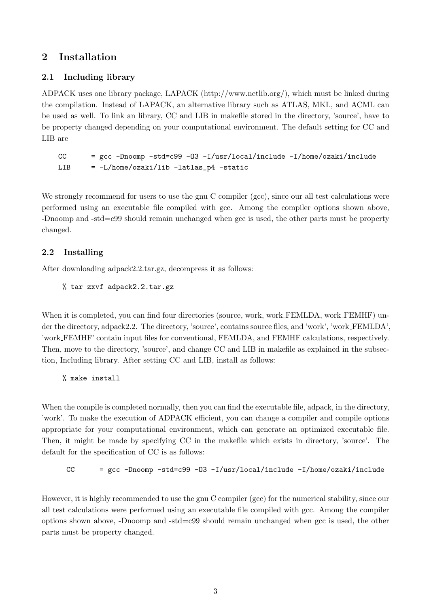## 2 Installation

## 2.1 Including library

ADPACK uses one library package, LAPACK (http://www.netlib.org/), which must be linked during the compilation. Instead of LAPACK, an alternative library such as ATLAS, MKL, and ACML can be used as well. To link an library, CC and LIB in makefile stored in the directory, 'source', have to be property changed depending on your computational environment. The default setting for CC and LIB are

CC  $=$  gcc -Dnoomp -std=c99 -03 -I/usr/local/include -I/home/ozaki/include  $LIB = -L/home/ozaki/lib -latlas_p4 -static$ 

We strongly recommend for users to use the gnu C compiler (gcc), since our all test calculations were performed using an executable file compiled with gcc. Among the compiler options shown above, -Dnoomp and -std=c99 should remain unchanged when gcc is used, the other parts must be property changed.

## 2.2 Installing

After downloading adpack2.2.tar.gz, decompress it as follows:

```
% tar zxvf adpack2.2.tar.gz
```
When it is completed, you can find four directories (source, work, work FEMLDA, work FEMHF) under the directory, adpack2.2. The directory, 'source', contains source files, and 'work', 'work FEMLDA', 'work FEMHF' contain input files for conventional, FEMLDA, and FEMHF calculations, respectively. Then, move to the directory, 'source', and change CC and LIB in makefile as explained in the subsection, Including library. After setting CC and LIB, install as follows:

```
% make install
```
When the compile is completed normally, then you can find the executable file, adpack, in the directory, 'work'. To make the execution of ADPACK efficient, you can change a compiler and compile options appropriate for your computational environment, which can generate an optimized executable file. Then, it might be made by specifying CC in the makefile which exists in directory, 'source'. The default for the specification of CC is as follows:

CC  $=$  gcc -Dnoomp -std=c99 -03 -I/usr/local/include -I/home/ozaki/include

However, it is highly recommended to use the gnu C compiler (gcc) for the numerical stability, since our all test calculations were performed using an executable file compiled with gcc. Among the compiler options shown above, -Dnoomp and -std=c99 should remain unchanged when gcc is used, the other parts must be property changed.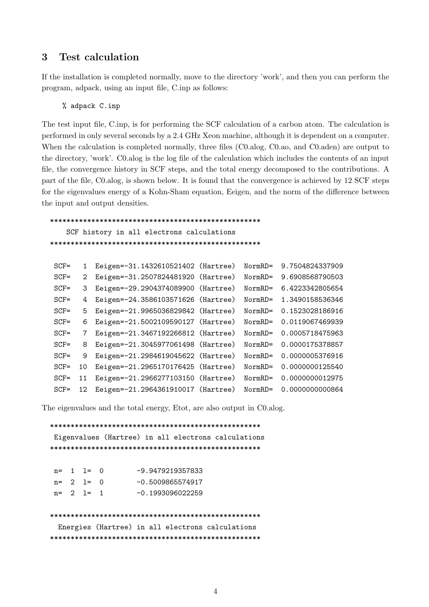## 3 Test calculation

If the installation is completed normally, move to the directory 'work', and then you can perform the program, adpack, using an input file, C.inp as follows:

% adpack C.inp

The test input file, C.inp, is for performing the SCF calculation of a carbon atom. The calculation is performed in only several seconds by a 2.4 GHz Xeon machine, although it is dependent on a computer. When the calculation is completed normally, three files (C0.alog, C0.ao, and C0.aden) are output to the directory, 'work'. C0.alog is the log file of the calculation which includes the contents of an input file, the convergence history in SCF steps, and the total energy decomposed to the contributions. A part of the file, C0.alog, is shown below. It is found that the convergence is achieved by 12 SCF steps for the eigenvalues energy of a Kohn-Sham equation, Eeigen, and the norm of the difference between the input and output densities.

\*\*\*\*\*\*\*\*\*\*\*\*\*\*\*\*\*\*\*\*\*\*\*\*\*\*\*\*\*\*\*\*\*\*\*\*\*\*\*\*\*\*\*\*\*\*\*\*\*\*\*

SCF history in all electrons calculations \*\*\*\*\*\*\*\*\*\*\*\*\*\*\*\*\*\*\*\*\*\*\*\*\*\*\*\*\*\*\*\*\*\*\*\*\*\*\*\*\*\*\*\*\*\*\*\*\*\*\*

| $SCF =$ |    | Eeigen=-31.1432610521402 (Hartree) | NormRD= | 9.7504824337909 |
|---------|----|------------------------------------|---------|-----------------|
| $SCF =$ | 2  | Eeigen=-31.2507824481920 (Hartree) | NormRD= | 9.6908568790503 |
| $SCF =$ | 3  | Eeigen=-29.2904374089900 (Hartree) | NormRD= | 6.4223342805654 |
| $SCF =$ | 4  | Eeigen=-24.3586103571626 (Hartree) | NormRD= | 1.3490158536346 |
| $SCF =$ | 5  | Eeigen=-21.9965036829842 (Hartree) | NormRD= | 0.1523028186916 |
| $SCF =$ | 6  | Eeigen=-21.5002109590127 (Hartree) | NormRD= | 0.0119067469939 |
| $SCF =$ |    | Eeigen=-21.3467192266812 (Hartree) | NormRD= | 0.0005718475963 |
| $SCF =$ | 8  | Eeigen=-21.3045977061498 (Hartree) | NormRD= | 0.0000175378857 |
| $SCF =$ | 9  | Eeigen=-21.2984619045622 (Hartree) | NormRD= | 0.0000005376916 |
| $SCF =$ | 10 | Eeigen=-21.2965170176425 (Hartree) | NormRD= | 0.0000000125540 |
| $SCF =$ | 11 | Eeigen=-21.2966277103150 (Hartree) | NormRD= | 0.0000000012975 |
| $SCF =$ |    | Eeigen=-21.2964361910017 (Hartree) | NormRD= | 0.0000000000864 |

The eigenvalues and the total energy, Etot, are also output in C0.alog.

\*\*\*\*\*\*\*\*\*\*\*\*\*\*\*\*\*\*\*\*\*\*\*\*\*\*\*\*\*\*\*\*\*\*\*\*\*\*\*\*\*\*\*\*\*\*\*\*\*\*\* Eigenvalues (Hartree) in all electrons calculations \*\*\*\*\*\*\*\*\*\*\*\*\*\*\*\*\*\*\*\*\*\*\*\*\*\*\*\*\*\*\*\*\*\*\*\*\*\*\*\*\*\*\*\*\*\*\*\*\*\*\*  $n= 1$  l= 0  $-9.9479219357833$ n= 2 1= 0 -0.5009865574917 n= 2 1= 1 -0.1993096022259 \*\*\*\*\*\*\*\*\*\*\*\*\*\*\*\*\*\*\*\*\*\*\*\*\*\*\*\*\*\*\*\*\*\*\*\*\*\*\*\*\*\*\*\*\*\*\*\*\*\*\* Energies (Hartree) in all electrons calculations \*\*\*\*\*\*\*\*\*\*\*\*\*\*\*\*\*\*\*\*\*\*\*\*\*\*\*\*\*\*\*\*\*\*\*\*\*\*\*\*\*\*\*\*\*\*\*\*\*\*\*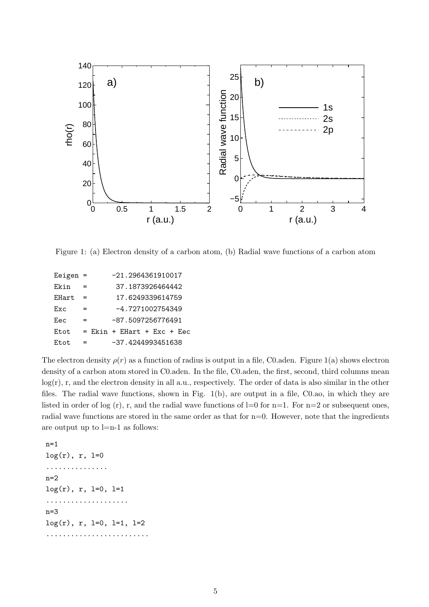

Figure 1: (a) Electron density of a carbon atom, (b) Radial wave functions of a carbon atom

| Eeigen $=$ |     |                              |  | $-21.2964361910017$ |  |  |  |
|------------|-----|------------------------------|--|---------------------|--|--|--|
| Ekin       | $=$ |                              |  | 37.1873926464442    |  |  |  |
| EHart      |     |                              |  | 17.6249339614759    |  |  |  |
| Exc.       | =   |                              |  | $-4.7271002754349$  |  |  |  |
| Eec        | =   |                              |  | -87.5097256776491   |  |  |  |
| Etot       |     | $=$ Ekin + EHart + Exc + Eec |  |                     |  |  |  |
| Et.ot.     | =   |                              |  | -37.4244993451638   |  |  |  |

The electron density  $\rho(r)$  as a function of radius is output in a file, C0.aden. Figure 1(a) shows electron density of a carbon atom stored in C0.aden. In the file, C0.aden, the first, second, third columns mean log(r), r, and the electron density in all a.u., respectively. The order of data is also similar in the other files. The radial wave functions, shown in Fig. 1(b), are output in a file, C0.ao, in which they are listed in order of log  $(r)$ , r, and the radial wave functions of l=0 for n=1. For n=2 or subsequent ones, radial wave functions are stored in the same order as that for  $n=0$ . However, note that the ingredients are output up to l=n-1 as follows:

n=1  $log(r)$ , r,  $l=0$ ...............  $n=2$  $log(r)$ , r,  $l=0$ ,  $l=1$ .................... n=3  $log(r)$ , r,  $l=0$ ,  $l=1$ ,  $l=2$ .........................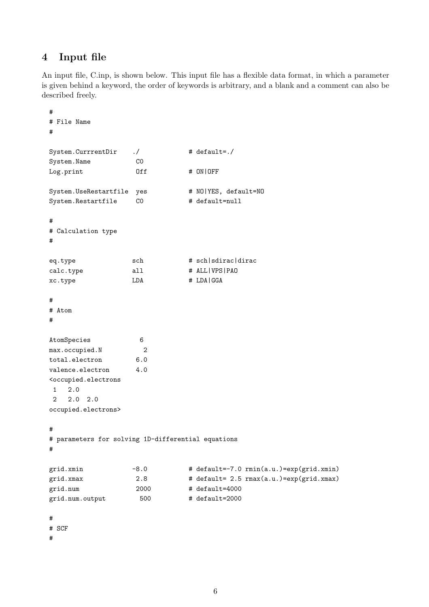## 4 Input file

An input file, C.inp, is shown below. This input file has a flexible data format, in which a parameter is given behind a keyword, the order of keywords is arbitrary, and a blank and a comment can also be described freely.

```
#
# File Name
#
System.CurrrentDir ./ # default=./
System.Name C0
Log.print 0ff # 0N|OFF
System.UseRestartfile yes # NO|YES, default=NO
System.Restartfile CO # default=null
#
# Calculation type
#
eq.type sch # sch|sdirac|dirac
calc.type all # ALL|VPS|PAO
xc.type LDA # LDA|GGA
#
# Atom
#
AtomSpecies 6
max.occupied.N 2
total.electron 6.0
valence.electron 4.0
<occupied.electrons
1 2.0
2 2.0 2.0
occupied.electrons>
#
# parameters for solving 1D-differential equations
#
grid.xmin -8.0 + default=-7.0 rmin(a.u.)=exp(grid.xmin)
grid.xmax 2.8 # default= 2.5 rmax(a.u.)=exp(grid.xmax)
grid.num 2000 # default=4000
grid.num.output 500 # default=2000
#
# SCF
#
```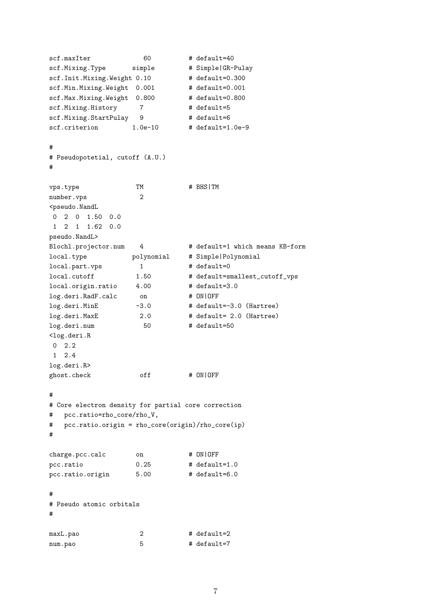```
scf.maxIter 60 # default=40
scf.Mixing.Type simple # Simple|GR-Pulay
scf.Init.Mixing.Weight 0.10 # default=0.300
scf.Min.Mixing.Weight 0.001 # default=0.001
scf.Max.Mixing.Weight 0.800 # default=0.800
scf.Mixing.History 7 # default=5
scf.Mixing.StartPulay 9 # default=6
scf.criterion 1.0e-10 # default=1.0e-9
#
# Pseudopotetial, cutoff (A.U.)
#
vps.type TM # BHS|TM
number.vps 2
<pseudo.NandL
0 2 0 1.50 0.0
1 2 1 1.62 0.0
pseudo.NandL>
Blochl.projector.num 4 # default=1 which means KB-form
local.type polynomial # Simple|Polynomial
local.part.vps 1 # default=0
local.cutoff 1.50 # default=smallest_cutoff_vps
local.origin.ratio 4.00 # default=3.0
log.deri.RadF.calc on # ON|OFF
log.deri.MinE -3.0 # default=-3.0 (Hartree)
log.deri.MaxE 2.0 # default= 2.0 (Hartree)
log.deri.num 50 # default=50
<log.deri.R
0 2.2
1 2.4
log.deri.R>
ghost.check off # ON|OFF
#
# Core electron density for partial core correction
# pcc.ratio=rho_core/rho_V,
# pcc.ratio.origin = rho_core(origin)/rho_core(ip)
#
charge.pcc.calc on # ON|OFF
pcc.ratio 0.25 # default=1.0
pcc.ratio.origin 5.00 # default=6.0
#
# Pseudo atomic orbitals
#
maxL.pao 2 + 4 default=2
num.pao 5 # default=7
```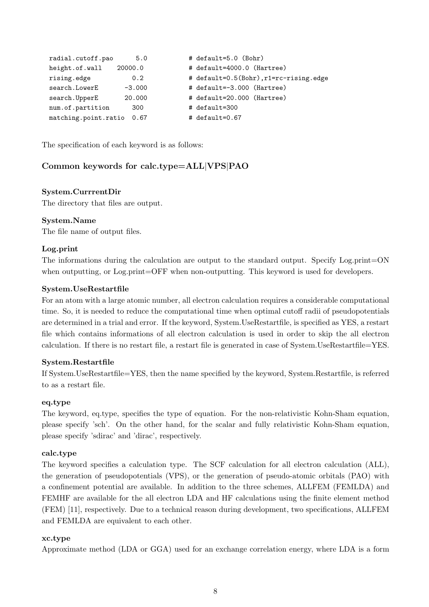```
radial.cutoff.pao 5.0 # default=5.0 (Bohr)
height.of.wall 20000.0   # default=4000.0 (Hartree)
rising.edge 0.2 # default=0.5(Bohr),r1=rc-rising.edge
search.LowerE -3.000 # default=-3.000 (Hartree)
search.UpperE 20.000 # default=20.000 (Hartree)
num.of.partition 300 # default=300
matching.point.ratio 0.67 # default=0.67
```
The specification of each keyword is as follows:

## Common keywords for calc.type=ALL|VPS|PAO

#### System.CurrrentDir

The directory that files are output.

#### System.Name

The file name of output files.

#### Log.print

The informations during the calculation are output to the standard output. Specify Log.print=ON when outputting, or Log.print=OFF when non-outputting. This keyword is used for developers.

#### System.UseRestartfile

For an atom with a large atomic number, all electron calculation requires a considerable computational time. So, it is needed to reduce the computational time when optimal cutoff radii of pseudopotentials are determined in a trial and error. If the keyword, System.UseRestartfile, is specified as YES, a restart file which contains informations of all electron calculation is used in order to skip the all electron calculation. If there is no restart file, a restart file is generated in case of System.UseRestartfile=YES.

#### System.Restartfile

If System.UseRestartfile=YES, then the name specified by the keyword, System.Restartfile, is referred to as a restart file.

#### eq.type

The keyword, eq.type, specifies the type of equation. For the non-relativistic Kohn-Sham equation, please specify 'sch'. On the other hand, for the scalar and fully relativistic Kohn-Sham equation, please specify 'sdirac' and 'dirac', respectively.

#### calc.type

The keyword specifies a calculation type. The SCF calculation for all electron calculation (ALL), the generation of pseudopotentials (VPS), or the generation of pseudo-atomic orbitals (PAO) with a confinement potential are available. In addition to the three schemes, ALLFEM (FEMLDA) and FEMHF are available for the all electron LDA and HF calculations using the finite element method (FEM) [11], respectively. Due to a technical reason during development, two specifications, ALLFEM and FEMLDA are equivalent to each other.

#### xc.type

Approximate method (LDA or GGA) used for an exchange correlation energy, where LDA is a form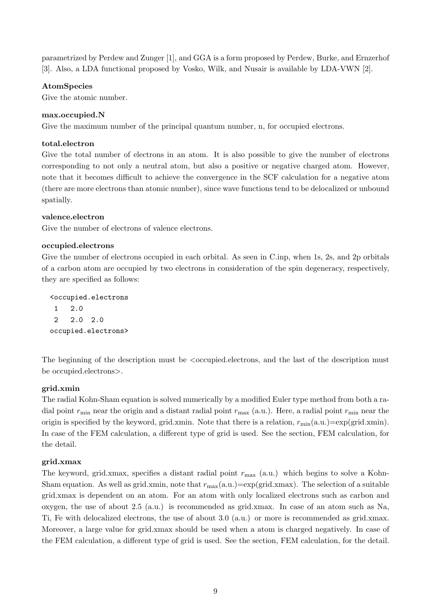parametrized by Perdew and Zunger [1], and GGA is a form proposed by Perdew, Burke, and Ernzerhof [3]. Also, a LDA functional proposed by Vosko, Wilk, and Nusair is available by LDA-VWN [2].

### AtomSpecies

Give the atomic number.

#### max.occupied.N

Give the maximum number of the principal quantum number, n, for occupied electrons.

#### total.electron

Give the total number of electrons in an atom. It is also possible to give the number of electrons corresponding to not only a neutral atom, but also a positive or negative charged atom. However, note that it becomes difficult to achieve the convergence in the SCF calculation for a negative atom (there are more electrons than atomic number), since wave functions tend to be delocalized or unbound spatially.

#### valence.electron

Give the number of electrons of valence electrons.

#### occupied.electrons

Give the number of electrons occupied in each orbital. As seen in C.inp, when 1s, 2s, and 2p orbitals of a carbon atom are occupied by two electrons in consideration of the spin degeneracy, respectively, they are specified as follows:

<occupied.electrons 1 2.0 2 2.0 2.0 occupied.electrons>

The beginning of the description must be  $\leq$  occupied. electrons, and the last of the description must be occupied.electrons>.

#### grid.xmin

The radial Kohn-Sham equation is solved numerically by a modified Euler type method from both a radial point  $r_{\min}$  near the origin and a distant radial point  $r_{\max}$  (a.u.). Here, a radial point  $r_{\min}$  near the origin is specified by the keyword, grid.xmin. Note that there is a relation,  $r_{\min}(\text{a.u.})=\exp(\text{grid.xml})$ . In case of the FEM calculation, a different type of grid is used. See the section, FEM calculation, for the detail.

#### grid.xmax

The keyword, grid.xmax, specifies a distant radial point  $r_{\text{max}}$  (a.u.) which begins to solve a Kohn-Sham equation. As well as grid.xmin, note that  $r_{\text{max}}(a.u.) = \exp(\text{grid}.xmax)$ . The selection of a suitable grid.xmax is dependent on an atom. For an atom with only localized electrons such as carbon and oxygen, the use of about 2.5 (a.u.) is recommended as grid.xmax. In case of an atom such as Na, Ti, Fe with delocalized electrons, the use of about 3.0 (a.u.) or more is recommended as grid.xmax. Moreover, a large value for grid.xmax should be used when a atom is charged negatively. In case of the FEM calculation, a different type of grid is used. See the section, FEM calculation, for the detail.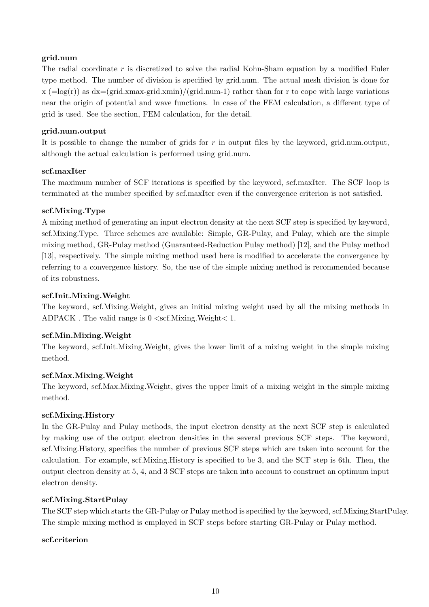## grid.num

The radial coordinate  $r$  is discretized to solve the radial Kohn-Sham equation by a modified Euler type method. The number of division is specified by grid.num. The actual mesh division is done for  $x (=log(r))$  as  $dx=(grid.xmax-grid.xmin)/(grid.num-1)$  rather than for r to cope with large variations near the origin of potential and wave functions. In case of the FEM calculation, a different type of grid is used. See the section, FEM calculation, for the detail.

## grid.num.output

It is possible to change the number of grids for  $r$  in output files by the keyword, grid.num.output, although the actual calculation is performed using grid.num.

### scf.maxIter

The maximum number of SCF iterations is specified by the keyword, scf.maxIter. The SCF loop is terminated at the number specified by scf.maxIter even if the convergence criterion is not satisfied.

## scf.Mixing.Type

A mixing method of generating an input electron density at the next SCF step is specified by keyword, scf.Mixing.Type. Three schemes are available: Simple, GR-Pulay, and Pulay, which are the simple mixing method, GR-Pulay method (Guaranteed-Reduction Pulay method) [12], and the Pulay method [13], respectively. The simple mixing method used here is modified to accelerate the convergence by referring to a convergence history. So, the use of the simple mixing method is recommended because of its robustness.

## scf.Init.Mixing.Weight

The keyword, scf.Mixing.Weight, gives an initial mixing weight used by all the mixing methods in ADPACK . The valid range is  $0 \lt scf.Mixing.Weight < 1$ .

## scf.Min.Mixing.Weight

The keyword, scf.Init.Mixing.Weight, gives the lower limit of a mixing weight in the simple mixing method.

## scf.Max.Mixing.Weight

The keyword, scf.Max.Mixing.Weight, gives the upper limit of a mixing weight in the simple mixing method.

## scf.Mixing.History

In the GR-Pulay and Pulay methods, the input electron density at the next SCF step is calculated by making use of the output electron densities in the several previous SCF steps. The keyword, scf.Mixing.History, specifies the number of previous SCF steps which are taken into account for the calculation. For example, scf.Mixing.History is specified to be 3, and the SCF step is 6th. Then, the output electron density at 5, 4, and 3 SCF steps are taken into account to construct an optimum input electron density.

## scf.Mixing.StartPulay

The SCF step which starts the GR-Pulay or Pulay method is specified by the keyword, scf.Mixing.StartPulay. The simple mixing method is employed in SCF steps before starting GR-Pulay or Pulay method.

## scf.criterion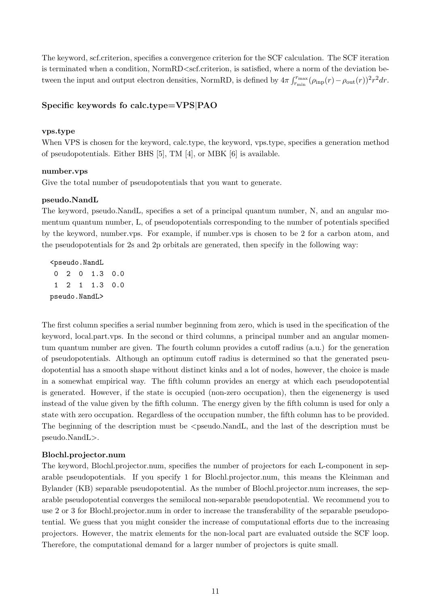The keyword, scf.criterion, specifies a convergence criterion for the SCF calculation. The SCF iteration is terminated when a condition, NormRD<scf.criterion, is satisfied, where a norm of the deviation between the input and output electron densities, NormRD, is defined by  $4\pi \int_{r}^{r_{\text{max}}}$  $r_{\min}^{r_{\max}}(\rho_{\text{inp}}(r)-\rho_{\text{out}}(r))^{2}r^{2}dr.$ 

### Specific keywords fo calc.type=VPS|PAO

#### vps.type

When VPS is chosen for the keyword, calc.type, the keyword, vps.type, specifies a generation method of pseudopotentials. Either BHS [5], TM [4], or MBK [6] is available.

#### number.vps

Give the total number of pseudopotentials that you want to generate.

#### pseudo.NandL

The keyword, pseudo.NandL, specifies a set of a principal quantum number, N, and an angular momentum quantum number, L, of pseudopotentials corresponding to the number of potentials specified by the keyword, number.vps. For example, if number.vps is chosen to be 2 for a carbon atom, and the pseudopotentials for 2s and 2p orbitals are generated, then specify in the following way:

<pseudo.NandL 0 2 0 1.3 0.0 1 2 1 1.3 0.0 pseudo.NandL>

The first column specifies a serial number beginning from zero, which is used in the specification of the keyword, local.part.vps. In the second or third columns, a principal number and an angular momentum quantum number are given. The fourth column provides a cutoff radius (a.u.) for the generation of pseudopotentials. Although an optimum cutoff radius is determined so that the generated pseudopotential has a smooth shape without distinct kinks and a lot of nodes, however, the choice is made in a somewhat empirical way. The fifth column provides an energy at which each pseudopotential is generated. However, if the state is occupied (non-zero occupation), then the eigenenergy is used instead of the value given by the fifth column. The energy given by the fifth column is used for only a state with zero occupation. Regardless of the occupation number, the fifth column has to be provided. The beginning of the description must be  $\leq$  pseudo.NandL, and the last of the description must be pseudo.NandL>.

#### Blochl.projector.num

The keyword, Blochl.projector.num, specifies the number of projectors for each L-component in separable pseudopotentials. If you specify 1 for Blochl.projector.num, this means the Kleinman and Bylander (KB) separable pseudopotential. As the number of Blochl.projector.num increases, the separable pseudopotential converges the semilocal non-separable pseudopotential. We recommend you to use 2 or 3 for Blochl.projector.num in order to increase the transferability of the separable pseudopotential. We guess that you might consider the increase of computational efforts due to the increasing projectors. However, the matrix elements for the non-local part are evaluated outside the SCF loop. Therefore, the computational demand for a larger number of projectors is quite small.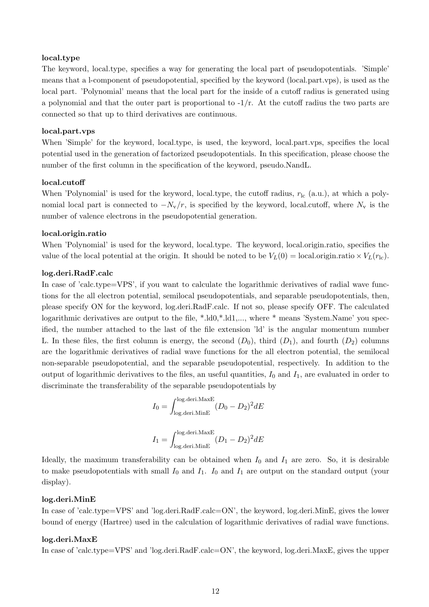#### local.type

The keyword, local.type, specifies a way for generating the local part of pseudopotentials. 'Simple' means that a l-component of pseudopotential, specified by the keyword (local.part.vps), is used as the local part. 'Polynomial' means that the local part for the inside of a cutoff radius is generated using a polynomial and that the outer part is proportional to  $-1/r$ . At the cutoff radius the two parts are connected so that up to third derivatives are continuous.

#### local.part.vps

When 'Simple' for the keyword, local.type, is used, the keyword, local.part.vps, specifies the local potential used in the generation of factorized pseudopotentials. In this specification, please choose the number of the first column in the specification of the keyword, pseudo.NandL.

#### local.cutoff

When 'Polynomial' is used for the keyword, local.type, the cutoff radius,  $r_{\rm lc}$  (a.u.), at which a polynomial local part is connected to  $-N_v/r$ , is specified by the keyword, local.cutoff, where  $N_v$  is the number of valence electrons in the pseudopotential generation.

#### local.origin.ratio

When 'Polynomial' is used for the keyword, local.type. The keyword, local.origin.ratio, specifies the value of the local potential at the origin. It should be noted to be  $V_L(0) = \text{local.origin.ratio} \times V_L(r_{\text{lc}})$ .

#### log.deri.RadF.calc

In case of 'calc.type=VPS', if you want to calculate the logarithmic derivatives of radial wave functions for the all electron potential, semilocal pseudopotentials, and separable pseudopotentials, then, please specify ON for the keyword, log.deri.RadF.calc. If not so, please specify OFF. The calculated logarithmic derivatives are output to the file, \*.1d0,\*.1d1,..., where \* means 'System.Name' you specified, the number attached to the last of the file extension 'ld' is the angular momentum number L. In these files, the first column is energy, the second  $(D_0)$ , third  $(D_1)$ , and fourth  $(D_2)$  columns are the logarithmic derivatives of radial wave functions for the all electron potential, the semilocal non-separable pseudopotential, and the separable pseudopotential, respectively. In addition to the output of logarithmic derivatives to the files, an useful quantities,  $I_0$  and  $I_1$ , are evaluated in order to discriminate the transferability of the separable pseudopotentials by

$$
I_0 = \int_{\log \text{.deri.MaxE}}^{\log \text{.deri.MaxE}} (D_0 - D_2)^2 dE
$$
  

$$
I_1 = \int_{\log \text{.deri.MaxE}}^{\log \text{.deri.MaxE}} (D_1 - D_2)^2 dE
$$

Ideally, the maximum transferability can be obtained when  $I_0$  and  $I_1$  are zero. So, it is desirable to make pseudopotentials with small  $I_0$  and  $I_1$ .  $I_0$  and  $I_1$  are output on the standard output (your display).

#### log.deri.MinE

In case of 'calc.type=VPS' and 'log.deri.RadF.calc=ON', the keyword, log.deri.MinE, gives the lower bound of energy (Hartree) used in the calculation of logarithmic derivatives of radial wave functions.

#### log.deri.MaxE

In case of 'calc.type=VPS' and 'log.deri.RadF.calc=ON', the keyword, log.deri.MaxE, gives the upper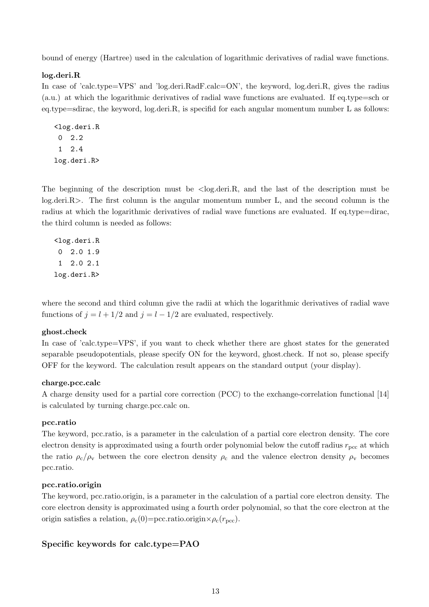bound of energy (Hartree) used in the calculation of logarithmic derivatives of radial wave functions.

#### log.deri.R

In case of 'calc.type=VPS' and 'log.deri.RadF.calc=ON', the keyword, log.deri.R, gives the radius (a.u.) at which the logarithmic derivatives of radial wave functions are evaluated. If eq.type=sch or eq.type=sdirac, the keyword, log.deri.R, is specifid for each angular momentum number L as follows:

<log.deri.R 0 2.2 1 2.4 log.deri.R>

The beginning of the description must be  $\langle \log \det R \rangle$ , and the last of the description must be log.deri.R>. The first column is the angular momentum number L, and the second column is the radius at which the logarithmic derivatives of radial wave functions are evaluated. If eq.type=dirac, the third column is needed as follows:

<log.deri.R 0 2.0 1.9 1 2.0 2.1 log.deri.R>

where the second and third column give the radii at which the logarithmic derivatives of radial wave functions of  $j = l + 1/2$  and  $j = l - 1/2$  are evaluated, respectively.

#### ghost.check

In case of 'calc.type=VPS', if you want to check whether there are ghost states for the generated separable pseudopotentials, please specify ON for the keyword, ghost.check. If not so, please specify OFF for the keyword. The calculation result appears on the standard output (your display).

#### charge.pcc.calc

A charge density used for a partial core correction (PCC) to the exchange-correlation functional [14] is calculated by turning charge.pcc.calc on.

#### pcc.ratio

The keyword, pcc.ratio, is a parameter in the calculation of a partial core electron density. The core electron density is approximated using a fourth order polynomial below the cutoff radius  $r_{\text{pcc}}$  at which the ratio  $\rho_c/\rho_v$  between the core electron density  $\rho_c$  and the valence electron density  $\rho_v$  becomes pcc.ratio.

#### pcc.ratio.origin

The keyword, pcc.ratio.origin, is a parameter in the calculation of a partial core electron density. The core electron density is approximated using a fourth order polynomial, so that the core electron at the origin satisfies a relation,  $\rho_c(0)$ =pcc.ratio.origin× $\rho_c(r_{\rm pcc})$ .

#### Specific keywords for calc.type=PAO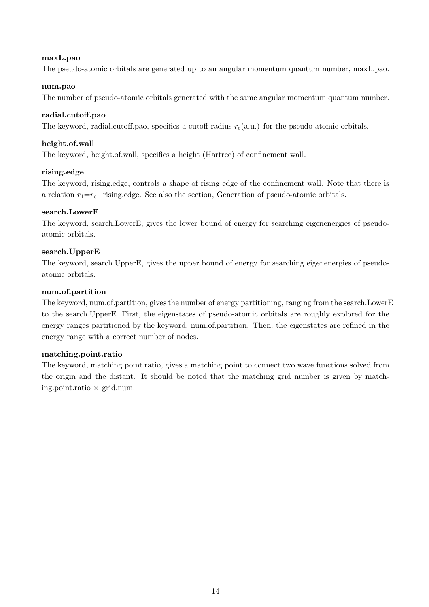### maxL.pao

The pseudo-atomic orbitals are generated up to an angular momentum quantum number, maxL.pao.

#### num.pao

The number of pseudo-atomic orbitals generated with the same angular momentum quantum number.

### radial.cutoff.pao

The keyword, radial.cutoff.pao, specifies a cutoff radius  $r_c(a.u.)$  for the pseudo-atomic orbitals.

### height.of.wall

The keyword, height.of.wall, specifies a height (Hartree) of confinement wall.

### rising.edge

The keyword, rising.edge, controls a shape of rising edge of the confinement wall. Note that there is a relation  $r_1=r_c-r_i$  rising.edge. See also the section, Generation of pseudo-atomic orbitals.

### search.LowerE

The keyword, search.LowerE, gives the lower bound of energy for searching eigenenergies of pseudoatomic orbitals.

### search.UpperE

The keyword, search.UpperE, gives the upper bound of energy for searching eigenenergies of pseudoatomic orbitals.

### num.of.partition

The keyword, num.of.partition, gives the number of energy partitioning, ranging from the search.LowerE to the search.UpperE. First, the eigenstates of pseudo-atomic orbitals are roughly explored for the energy ranges partitioned by the keyword, num.of.partition. Then, the eigenstates are refined in the energy range with a correct number of nodes.

#### matching.point.ratio

The keyword, matching.point.ratio, gives a matching point to connect two wave functions solved from the origin and the distant. It should be noted that the matching grid number is given by matching.point.ratio  $\times$  grid.num.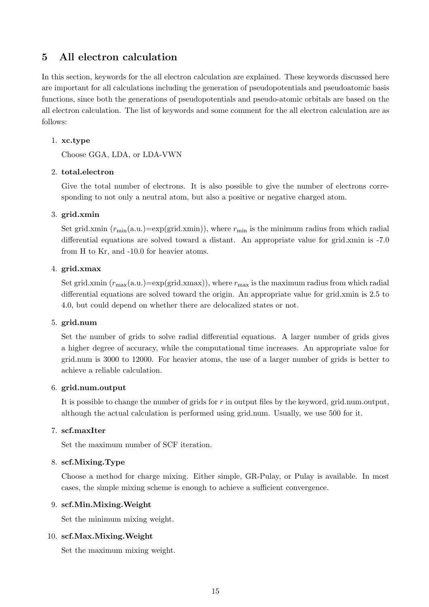## 5 All electron calculation

In this section, keywords for the all electron calculation are explained. These keywords discussed here are important for all calculations including the generation of pseudopotentials and pseudoatomic basis functions, since both the generations of pseudopotentials and pseudo-atomic orbitals are based on the all electron calculation. The list of keywords and some comment for the all electron calculation are as follows:

#### 1. xc.type

Choose GGA, LDA, or LDA-VWN

### 2. total.electron

Give the total number of electrons. It is also possible to give the number of electrons corresponding to not only a neutral atom, but also a positive or negative charged atom.

### 3. grid.xmin

Set grid.xmin  $(r_{\min}(a.u.) = exp(grid.xmin))$ , where  $r_{\min}$  is the minimum radius from which radial differential equations are solved toward a distant. An appropriate value for grid.xmin is -7.0 from H to Kr, and -10.0 for heavier atoms.

### 4. grid.xmax

Set grid.xmin  $(r_{\text{max}}(a.u.) = exp(grid.xmax))$ , where  $r_{\text{max}}$  is the maximum radius from which radial differential equations are solved toward the origin. An appropriate value for grid.xmin is 2.5 to 4.0, but could depend on whether there are delocalized states or not.

#### 5. grid.num

Set the number of grids to solve radial differential equations. A larger number of grids gives a higher degree of accuracy, while the computational time increases. An appropriate value for grid.num is 3000 to 12000. For heavier atoms, the use of a larger number of grids is better to achieve a reliable calculation.

#### 6. grid.num.output

It is possible to change the number of grids for r in output files by the keyword, grid.num.output, although the actual calculation is performed using grid.num. Usually, we use 500 for it.

#### 7. scf.maxIter

Set the maximum number of SCF iteration.

#### 8. scf.Mixing.Type

Choose a method for charge mixing. Either simple, GR-Pulay, or Pulay is available. In most cases, the simple mixing scheme is enough to achieve a sufficient convergence.

#### 9. scf.Min.Mixing.Weight

Set the minimum mixing weight.

#### 10. scf.Max.Mixing.Weight

Set the maximum mixing weight.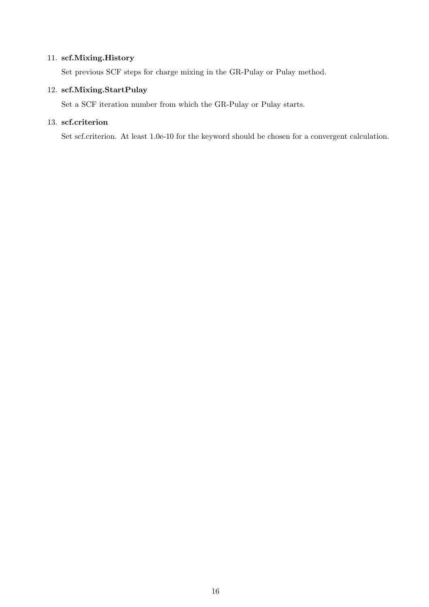### 11. scf.Mixing.History

Set previous SCF steps for charge mixing in the GR-Pulay or Pulay method.

### 12. scf.Mixing.StartPulay

Set a SCF iteration number from which the GR-Pulay or Pulay starts.

## 13. scf.criterion

Set scf.criterion. At least 1.0e-10 for the keyword should be chosen for a convergent calculation.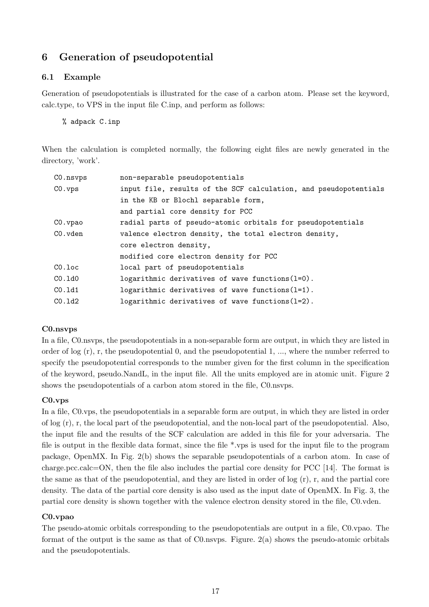## 6 Generation of pseudopotential

### 6.1 Example

Generation of pseudopotentials is illustrated for the case of a carbon atom. Please set the keyword, calc.type, to VPS in the input file C.inp, and perform as follows:

% adpack C.inp

When the calculation is completed normally, the following eight files are newly generated in the directory, 'work'.

| CO.nsvps  | non-separable pseudopotentials                                   |  |  |  |
|-----------|------------------------------------------------------------------|--|--|--|
| CO. vps   | input file, results of the SCF calculation, and pseudopotentials |  |  |  |
|           | in the KB or Blochl separable form,                              |  |  |  |
|           | and partial core density for PCC                                 |  |  |  |
| CO.vpao   | radial parts of pseudo-atomic orbitals for pseudopotentials      |  |  |  |
| CO.vden   | valence electron density, the total electron density,            |  |  |  |
|           | core electron density,                                           |  |  |  |
|           | modified core electron density for PCC                           |  |  |  |
| $CO.$ loc | local part of pseudopotentials                                   |  |  |  |
| CO.1d0    | logarithmic derivatives of wave functions $(l=0)$ .              |  |  |  |
| CO.1d1    | logarithmic derivatives of wave functions $(l=1)$ .              |  |  |  |
| CO.1d2    | logarithmic derivatives of wave functions $(l=2)$ .              |  |  |  |
|           |                                                                  |  |  |  |

#### C0.nsvps

In a file, C0.nsvps, the pseudopotentials in a non-separable form are output, in which they are listed in order of log  $(r)$ , r, the pseudopotential 0, and the pseudopotential 1, ..., where the number referred to specify the pseudopotential corresponds to the number given for the first column in the specification of the keyword, pseudo.NandL, in the input file. All the units employed are in atomic unit. Figure 2 shows the pseudopotentials of a carbon atom stored in the file, C0.nsvps.

#### C0.vps

In a file, C0.vps, the pseudopotentials in a separable form are output, in which they are listed in order of log (r), r, the local part of the pseudopotential, and the non-local part of the pseudopotential. Also, the input file and the results of the SCF calculation are added in this file for your adversaria. The file is output in the flexible data format, since the file \*.vps is used for the input file to the program package, OpenMX. In Fig. 2(b) shows the separable pseudopotentials of a carbon atom. In case of charge.pcc.calc=ON, then the file also includes the partial core density for PCC [14]. The format is the same as that of the pseudopotential, and they are listed in order of log (r), r, and the partial core density. The data of the partial core density is also used as the input date of OpenMX. In Fig. 3, the partial core density is shown together with the valence electron density stored in the file, C0.vden.

#### C0.vpao

The pseudo-atomic orbitals corresponding to the pseudopotentials are output in a file, C0.vpao. The format of the output is the same as that of  $C0$  nsvps. Figure.  $2(a)$  shows the pseudo-atomic orbitals and the pseudopotentials.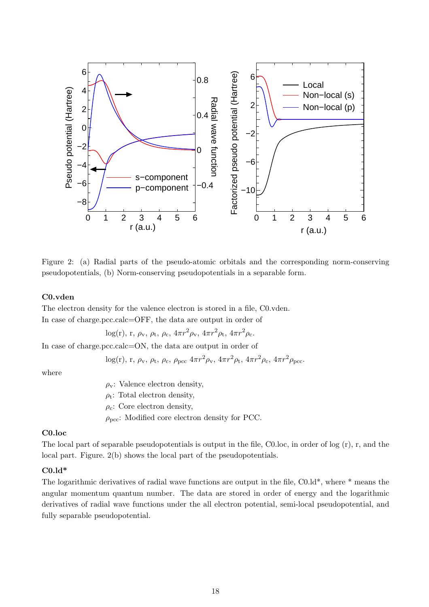

Figure 2: (a) Radial parts of the pseudo-atomic orbitals and the corresponding norm-conserving pseudopotentials, (b) Norm-conserving pseudopotentials in a separable form.

#### C0.vden

The electron density for the valence electron is stored in a file, C0.vden. In case of charge.pcc.calc=OFF, the data are output in order of

log(r), r,  $\rho_{v}$ ,  $\rho_{t}$ ,  $\rho_{c}$ ,  $4\pi r^{2} \rho_{v}$ ,  $4\pi r^{2} \rho_{t}$ ,  $4\pi r^{2} \rho_{c}$ .

In case of charge.pcc.calc=ON, the data are output in order of

log(r), r,  $\rho_v$ ,  $\rho_t$ ,  $\rho_c$ ,  $\rho_{\text{pcc}}$   $4\pi r^2 \rho_v$ ,  $4\pi r^2 \rho_t$ ,  $4\pi r^2 \rho_c$ ,  $4\pi r^2 \rho_{\text{pcc}}$ .

where

 $\rho_{\rm v}$ : Valence electron density,  $\rho_t$ : Total electron density,  $\rho_c$ : Core electron density,  $\rho_{\text{pcc}}$ : Modified core electron density for PCC.

#### C0.loc

The local part of separable pseudopotentials is output in the file, C0.loc, in order of log  $(r)$ , r, and the local part. Figure. 2(b) shows the local part of the pseudopotentials.

#### $C0.$ ld\*

The logarithmic derivatives of radial wave functions are output in the file, C0.ld\*, where \* means the angular momentum quantum number. The data are stored in order of energy and the logarithmic derivatives of radial wave functions under the all electron potential, semi-local pseudopotential, and fully separable pseudopotential.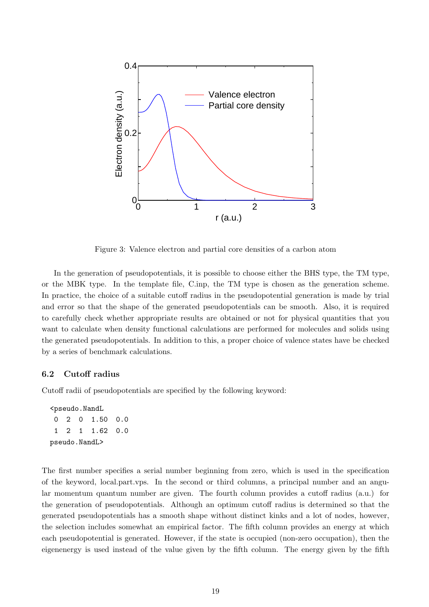

Figure 3: Valence electron and partial core densities of a carbon atom

In the generation of pseudopotentials, it is possible to choose either the BHS type, the TM type, or the MBK type. In the template file, C.inp, the TM type is chosen as the generation scheme. In practice, the choice of a suitable cutoff radius in the pseudopotential generation is made by trial and error so that the shape of the generated pseudopotentials can be smooth. Also, it is required to carefully check whether appropriate results are obtained or not for physical quantities that you want to calculate when density functional calculations are performed for molecules and solids using the generated pseudopotentials. In addition to this, a proper choice of valence states have be checked by a series of benchmark calculations.

#### 6.2 Cutoff radius

Cutoff radii of pseudopotentials are specified by the following keyword:

<pseudo.NandL 0 2 0 1.50 0.0 1 2 1 1.62 0.0 pseudo.NandL>

The first number specifies a serial number beginning from zero, which is used in the specification of the keyword, local.part.vps. In the second or third columns, a principal number and an angular momentum quantum number are given. The fourth column provides a cutoff radius (a.u.) for the generation of pseudopotentials. Although an optimum cutoff radius is determined so that the generated pseudopotentials has a smooth shape without distinct kinks and a lot of nodes, however, the selection includes somewhat an empirical factor. The fifth column provides an energy at which each pseudopotential is generated. However, if the state is occupied (non-zero occupation), then the eigenenergy is used instead of the value given by the fifth column. The energy given by the fifth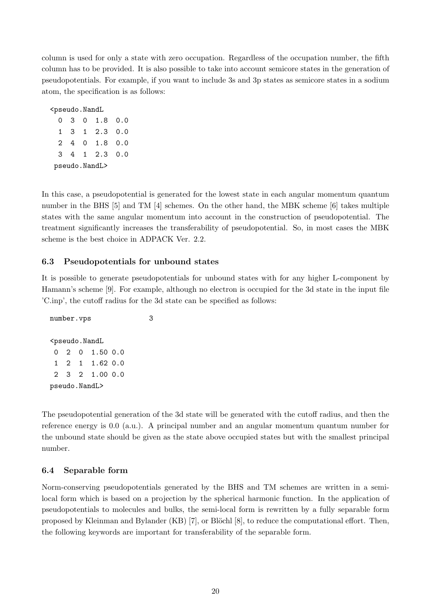column is used for only a state with zero occupation. Regardless of the occupation number, the fifth column has to be provided. It is also possible to take into account semicore states in the generation of pseudopotentials. For example, if you want to include 3s and 3p states as semicore states in a sodium atom, the specification is as follows:

<pseudo.NandL

0 3 0 1.8 0.0 1 3 1 2.3 0.0 2 4 0 1.8 0.0 3 4 1 2.3 0.0 pseudo.NandL>

In this case, a pseudopotential is generated for the lowest state in each angular momentum quantum number in the BHS [5] and TM [4] schemes. On the other hand, the MBK scheme [6] takes multiple states with the same angular momentum into account in the construction of pseudopotential. The treatment significantly increases the transferability of pseudopotential. So, in most cases the MBK scheme is the best choice in ADPACK Ver. 2.2.

## 6.3 Pseudopotentials for unbound states

It is possible to generate pseudopotentials for unbound states with for any higher L-component by Hamann's scheme [9]. For example, although no electron is occupied for the 3d state in the input file 'C.inp', the cutoff radius for the 3d state can be specified as follows:

```
number.vps 3
<pseudo.NandL
0 2 0 1.50 0.0
1 2 1 1.62 0.0
2 3 2 1.00 0.0
pseudo.NandL>
```
The pseudopotential generation of the 3d state will be generated with the cutoff radius, and then the reference energy is 0.0 (a.u.). A principal number and an angular momentum quantum number for the unbound state should be given as the state above occupied states but with the smallest principal number.

## 6.4 Separable form

Norm-conserving pseudopotentials generated by the BHS and TM schemes are written in a semilocal form which is based on a projection by the spherical harmonic function. In the application of pseudopotentials to molecules and bulks, the semi-local form is rewritten by a fully separable form proposed by Kleinman and Bylander (KB)  $[7]$ , or Blöchl  $[8]$ , to reduce the computational effort. Then, the following keywords are important for transferability of the separable form.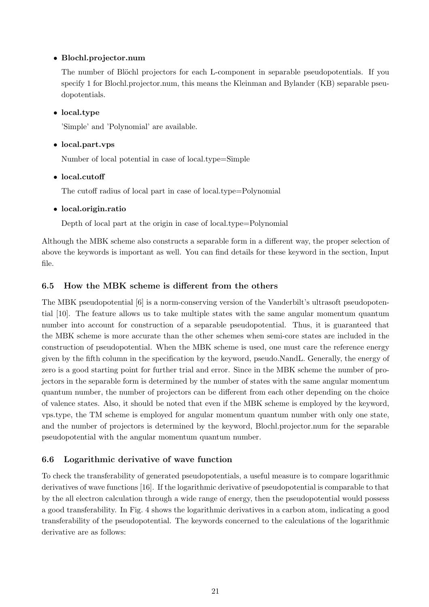## • Blochl.projector.num

The number of Blöchl projectors for each L-component in separable pseudopotentials. If you specify 1 for Blochl.projector.num, this means the Kleinman and Bylander (KB) separable pseudopotentials.

#### • local.type

'Simple' and 'Polynomial' are available.

### • local.part.vps

Number of local potential in case of local.type=Simple

### • local.cutoff

The cutoff radius of local part in case of local.type=Polynomial

### • local.origin.ratio

Depth of local part at the origin in case of local.type=Polynomial

Although the MBK scheme also constructs a separable form in a different way, the proper selection of above the keywords is important as well. You can find details for these keyword in the section, Input file.

### 6.5 How the MBK scheme is different from the others

The MBK pseudopotential [6] is a norm-conserving version of the Vanderbilt's ultrasoft pseudopotential [10]. The feature allows us to take multiple states with the same angular momentum quantum number into account for construction of a separable pseudopotential. Thus, it is guaranteed that the MBK scheme is more accurate than the other schemes when semi-core states are included in the construction of pseudopotential. When the MBK scheme is used, one must care the reference energy given by the fifth column in the specification by the keyword, pseudo.NandL. Generally, the energy of zero is a good starting point for further trial and error. Since in the MBK scheme the number of projectors in the separable form is determined by the number of states with the same angular momentum quantum number, the number of projectors can be different from each other depending on the choice of valence states. Also, it should be noted that even if the MBK scheme is employed by the keyword, vps.type, the TM scheme is employed for angular momentum quantum number with only one state, and the number of projectors is determined by the keyword, Blochl.projector.num for the separable pseudopotential with the angular momentum quantum number.

## 6.6 Logarithmic derivative of wave function

To check the transferability of generated pseudopotentials, a useful measure is to compare logarithmic derivatives of wave functions [16]. If the logarithmic derivative of pseudopotential is comparable to that by the all electron calculation through a wide range of energy, then the pseudopotential would possess a good transferability. In Fig. 4 shows the logarithmic derivatives in a carbon atom, indicating a good transferability of the pseudopotential. The keywords concerned to the calculations of the logarithmic derivative are as follows: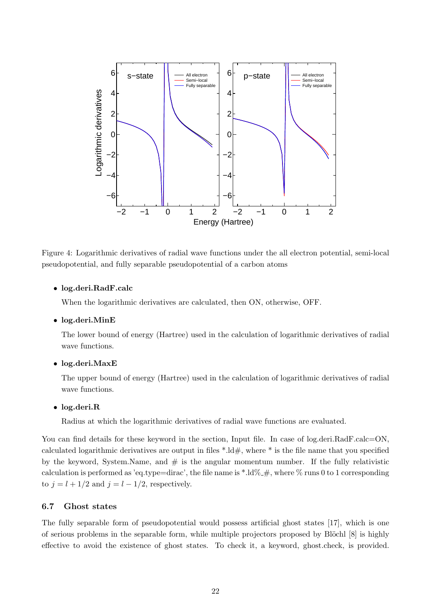

Figure 4: Logarithmic derivatives of radial wave functions under the all electron potential, semi-local pseudopotential, and fully separable pseudopotential of a carbon atoms

#### • log.deri.RadF.calc

When the logarithmic derivatives are calculated, then ON, otherwise, OFF.

#### • log.deri.MinE

The lower bound of energy (Hartree) used in the calculation of logarithmic derivatives of radial wave functions.

#### • log.deri.MaxE

The upper bound of energy (Hartree) used in the calculation of logarithmic derivatives of radial wave functions.

#### • log.deri.R

Radius at which the logarithmic derivatives of radial wave functions are evaluated.

You can find details for these keyword in the section, Input file. In case of log.deri.RadF.calc=ON, calculated logarithmic derivatives are output in files  $*.\text{Id}\#$ , where  $*$  is the file name that you specified by the keyword, System.Name, and  $#$  is the angular momentum number. If the fully relativistic calculation is performed as 'eq.type=dirac', the file name is  $*.\text{Id}\% \text{I}, \#$ , where  $\%$  runs 0 to 1 corresponding to  $j = l + 1/2$  and  $j = l - 1/2$ , respectively.

#### 6.7 Ghost states

The fully separable form of pseudopotential would possess artificial ghost states [17], which is one of serious problems in the separable form, while multiple projectors proposed by Blöchl  $[8]$  is highly effective to avoid the existence of ghost states. To check it, a keyword, ghost.check, is provided.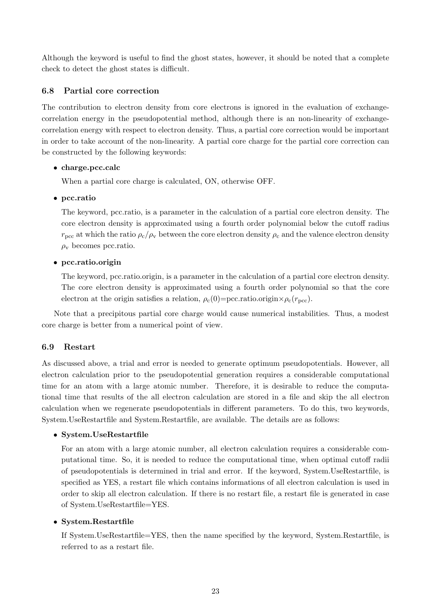Although the keyword is useful to find the ghost states, however, it should be noted that a complete check to detect the ghost states is difficult.

#### 6.8 Partial core correction

The contribution to electron density from core electrons is ignored in the evaluation of exchangecorrelation energy in the pseudopotential method, although there is an non-linearity of exchangecorrelation energy with respect to electron density. Thus, a partial core correction would be important in order to take account of the non-linearity. A partial core charge for the partial core correction can be constructed by the following keywords:

#### • charge.pcc.calc

When a partial core charge is calculated, ON, otherwise OFF.

### • pcc.ratio

The keyword, pcc.ratio, is a parameter in the calculation of a partial core electron density. The core electron density is approximated using a fourth order polynomial below the cutoff radius  $r_{\text{pcc}}$  at which the ratio  $\rho_{\text{c}}/\rho_{\text{v}}$  between the core electron density  $\rho_{\text{c}}$  and the valence electron density  $\rho_{\rm v}$  becomes pcc.ratio.

### • pcc.ratio.origin

The keyword, pcc.ratio.origin, is a parameter in the calculation of a partial core electron density. The core electron density is approximated using a fourth order polynomial so that the core electron at the origin satisfies a relation,  $\rho_c(0)$ =pcc.ratio.origin× $\rho_c(r_{\text{pcc}})$ .

Note that a precipitous partial core charge would cause numerical instabilities. Thus, a modest core charge is better from a numerical point of view.

## 6.9 Restart

As discussed above, a trial and error is needed to generate optimum pseudopotentials. However, all electron calculation prior to the pseudopotential generation requires a considerable computational time for an atom with a large atomic number. Therefore, it is desirable to reduce the computational time that results of the all electron calculation are stored in a file and skip the all electron calculation when we regenerate pseudopotentials in different parameters. To do this, two keywords, System.UseRestartfile and System.Restartfile, are available. The details are as follows:

## • System.UseRestartfile

For an atom with a large atomic number, all electron calculation requires a considerable computational time. So, it is needed to reduce the computational time, when optimal cutoff radii of pseudopotentials is determined in trial and error. If the keyword, System.UseRestartfile, is specified as YES, a restart file which contains informations of all electron calculation is used in order to skip all electron calculation. If there is no restart file, a restart file is generated in case of System.UseRestartfile=YES.

## • System.Restartfile

If System.UseRestartfile=YES, then the name specified by the keyword, System.Restartfile, is referred to as a restart file.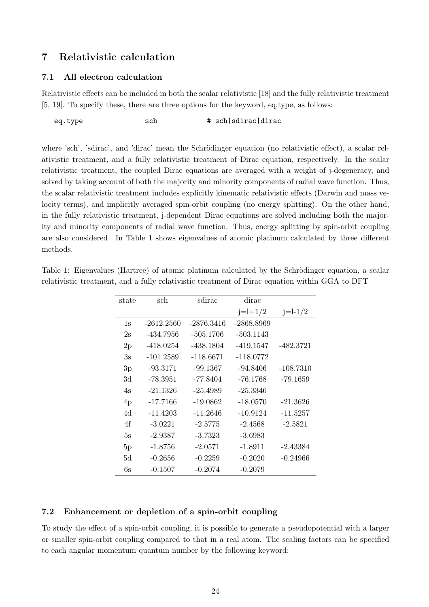## 7 Relativistic calculation

#### 7.1 All electron calculation

Relativistic effects can be included in both the scalar relativistic [18] and the fully relativistic treatment [5, 19]. To specify these, there are three options for the keyword, eq.type, as follows:

eq.type sch # sch|sdirac|dirac

where 'sch', 'sdirac', and 'dirac' mean the Schrödinger equation (no relativistic effect), a scalar relativistic treatment, and a fully relativistic treatment of Dirac equation, respectively. In the scalar relativistic treatment, the coupled Dirac equations are averaged with a weight of j-degeneracy, and solved by taking account of both the majority and minority components of radial wave function. Thus, the scalar relativistic treatment includes explicitly kinematic relativistic effects (Darwin and mass velocity terms), and implicitly averaged spin-orbit coupling (no energy splitting). On the other hand, in the fully relativistic treatment, j-dependent Dirac equations are solved including both the majority and minority components of radial wave function. Thus, energy splitting by spin-orbit coupling are also considered. In Table 1 shows eigenvalues of atomic platinum calculated by three different methods.

| state | sch          | sdirac       | dirac       |             |
|-------|--------------|--------------|-------------|-------------|
|       |              |              | $j=l+1/2$   | $j=l-1/2$   |
| 1s    | $-2612.2560$ | $-2876.3416$ | -2868.8969  |             |
| 2s    | -434.7956    | $-505.1706$  | $-503.1143$ |             |
| 2p    | -418.0254    | $-438.1804$  | $-419.1547$ | $-482.3721$ |
| 3s    | $-101.2589$  | -118.6671    | $-118.0772$ |             |
| 3p    | $-93.3171$   | $-99.1367$   | $-94.8406$  | $-108.7310$ |
| 3d    | -78.3951     | -77.8404     | $-76.1768$  | $-79.1659$  |
| 4s    | $-21.1326$   | $-25.4989$   | $-25.3346$  |             |
| 4p    | $-17.7166$   | $-19.0862$   | $-18.0570$  | $-21.3626$  |
| 4d    | $-11.4203$   | $-11.2646$   | $-10.9124$  | $-11.5257$  |
| 4f    | $-3.0221$    | $-2.5775$    | $-2.4568$   | $-2.5821$   |
| 5s    | $-2.9387$    | $-3.7323$    | $-3.6983$   |             |
| 5p    | $-1.8756$    | $-2.0571$    | $-1.8911$   | $-2.43384$  |
| 5d    | $-0.2656$    | $-0.2259$    | $-0.2020$   | $-0.24966$  |
| 6s    | $-0.1507$    | $-0.2074$    | $-0.2079$   |             |

Table 1: Eigenvalues (Hartree) of atomic platinum calculated by the Schrödinger equation, a scalar relativistic treatment, and a fully relativistic treatment of Dirac equation within GGA to DFT

#### 7.2 Enhancement or depletion of a spin-orbit coupling

To study the effect of a spin-orbit coupling, it is possible to generate a pseudopotential with a larger or smaller spin-orbit coupling compared to that in a real atom. The scaling factors can be specified to each angular momentum quantum number by the following keyword: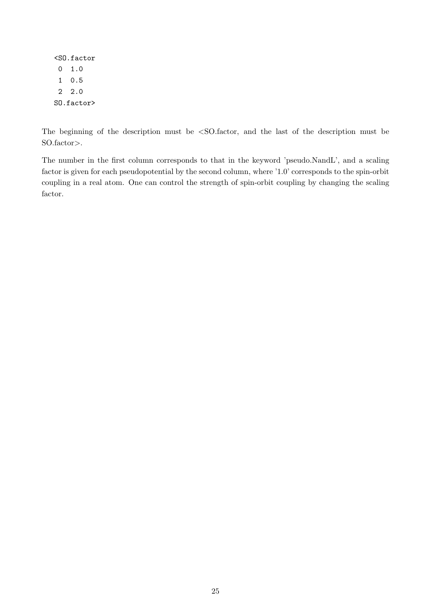<SO.factor 0 1.0 1 0.5 2 2.0 SO.factor>

The beginning of the description must be <SO.factor, and the last of the description must be SO.factor>.

The number in the first column corresponds to that in the keyword 'pseudo.NandL', and a scaling factor is given for each pseudopotential by the second column, where '1.0' corresponds to the spin-orbit coupling in a real atom. One can control the strength of spin-orbit coupling by changing the scaling factor.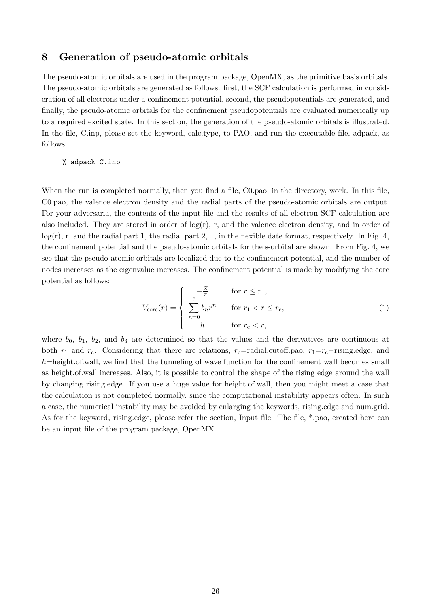## 8 Generation of pseudo-atomic orbitals

The pseudo-atomic orbitals are used in the program package, OpenMX, as the primitive basis orbitals. The pseudo-atomic orbitals are generated as follows: first, the SCF calculation is performed in consideration of all electrons under a confinement potential, second, the pseudopotentials are generated, and finally, the pseudo-atomic orbitals for the confinement pseudopotentials are evaluated numerically up to a required excited state. In this section, the generation of the pseudo-atomic orbitals is illustrated. In the file, C.inp, please set the keyword, calc.type, to PAO, and run the executable file, adpack, as follows:

## % adpack C.inp

When the run is completed normally, then you find a file, C0.pao, in the directory, work. In this file, C0.pao, the valence electron density and the radial parts of the pseudo-atomic orbitals are output. For your adversaria, the contents of the input file and the results of all electron SCF calculation are also included. They are stored in order of  $log(r)$ , r, and the valence electron density, and in order of  $log(r)$ , r, and the radial part 1, the radial part 2,..., in the flexible date format, respectively. In Fig. 4, the confinement potential and the pseudo-atomic orbitals for the s-orbital are shown. From Fig. 4, we see that the pseudo-atomic orbitals are localized due to the confinement potential, and the number of nodes increases as the eigenvalue increases. The confinement potential is made by modifying the core potential as follows:  $\overline{a}$ 

$$
V_{\text{core}}(r) = \begin{cases} -\frac{Z}{r} & \text{for } r \le r_1, \\ \sum_{n=0}^{3} b_n r^n & \text{for } r_1 < r \le r_{\text{c}}, \\ h & \text{for } r_{\text{c}} < r, \end{cases} \tag{1}
$$

where  $b_0$ ,  $b_1$ ,  $b_2$ , and  $b_3$  are determined so that the values and the derivatives are continuous at both  $r_1$  and  $r_c$ . Considering that there are relations,  $r_c$ =radial.cutoff.pao,  $r_1=r_c-r$ ising.edge, and  $h$ =height.of.wall, we find that the tunneling of wave function for the confinement wall becomes small as height.of.wall increases. Also, it is possible to control the shape of the rising edge around the wall by changing rising.edge. If you use a huge value for height.of.wall, then you might meet a case that the calculation is not completed normally, since the computational instability appears often. In such a case, the numerical instability may be avoided by enlarging the keywords, rising.edge and num.grid. As for the keyword, rising.edge, please refer the section, Input file. The file, \*.pao, created here can be an input file of the program package, OpenMX.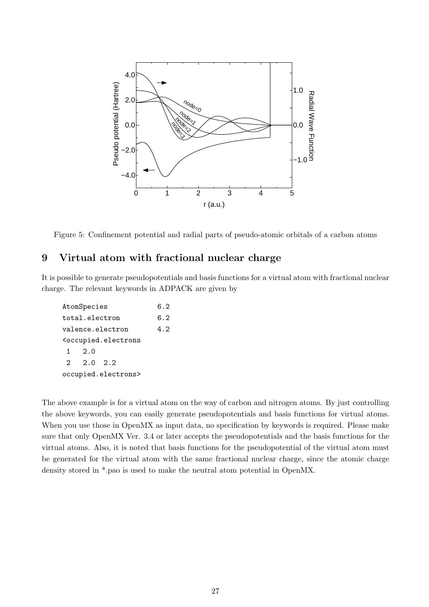

Figure 5: Confinement potential and radial parts of pseudo-atomic orbitals of a carbon atoms

## 9 Virtual atom with fractional nuclear charge

It is possible to generate pseudopotentials and basis functions for a virtual atom with fractional nuclear charge. The relevant keywords in ADPACK are given by

```
AtomSpecies 6.2
total.electron 6.2
valence.electron 4.2
<occupied.electrons
1 2.0
2 2.0 2.2
occupied.electrons>
```
The above example is for a virtual atom on the way of carbon and nitrogen atoms. By just controlling the above keywords, you can easily generate pseudopotentials and basis functions for virtual atoms. When you use those in OpenMX as input data, no specification by keywords is required. Please make sure that only OpenMX Ver. 3.4 or later accepts the pseudopotentials and the basis functions for the virtual atoms. Also, it is noted that basis functions for the pseudopotential of the virtual atom must be generated for the virtual atom with the same fractional nuclear charge, since the atomic charge density stored in \*.pao is used to make the neutral atom potential in OpenMX.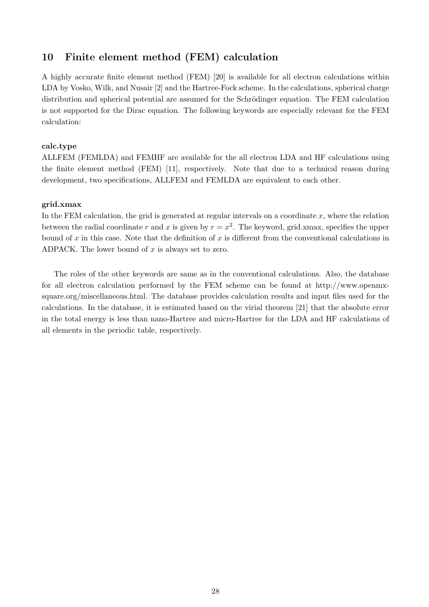## 10 Finite element method (FEM) calculation

A highly accurate finite element method (FEM) [20] is available for all electron calculations within LDA by Vosko, Wilk, and Nusair [2] and the Hartree-Fock scheme. In the calculations, spherical charge distribution and spherical potential are assumed for the Schrödinger equation. The FEM calculation is not supported for the Dirac equation. The following keywords are especially relevant for the FEM calculation:

#### calc.type

ALLFEM (FEMLDA) and FEMHF are available for the all electron LDA and HF calculations using the finite element method (FEM) [11], respectively. Note that due to a technical reason during development, two specifications, ALLFEM and FEMLDA are equivalent to each other.

#### grid.xmax

In the FEM calculation, the grid is generated at regular intervals on a coordinate  $x$ , where the relation between the radial coordinate r and x is given by  $r = x^2$ . The keyword, grid.xmax, specifies the upper bound of x in this case. Note that the definition of x is different from the conventional calculations in ADPACK. The lower bound of  $x$  is always set to zero.

The roles of the other keywords are same as in the conventional calculations. Also, the database for all electron calculation performed by the FEM scheme can be found at http://www.openmxsquare.org/miscellaneous.html. The database provides calculation results and input files used for the calculations. In the database, it is estimated based on the virial theorem [21] that the absolute error in the total energy is less than nano-Hartree and micro-Hartree for the LDA and HF calculations of all elements in the periodic table, respectively.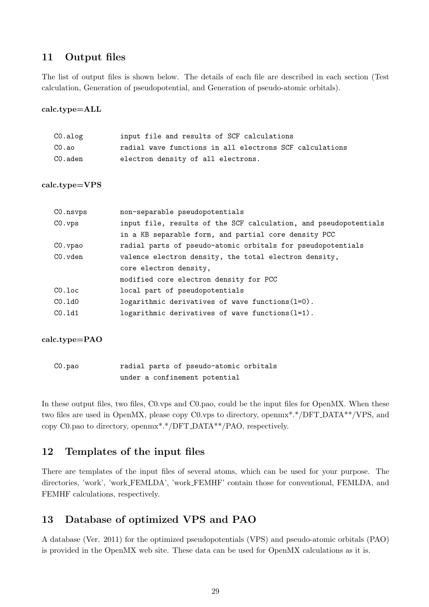## 11 Output files

The list of output files is shown below. The details of each file are described in each section (Test calculation, Generation of pseudopotential, and Generation of pseudo-atomic orbitals).

#### calc.type=ALL

| CO.alog | input file and results of SCF calculations              |
|---------|---------------------------------------------------------|
| CO.ao   | radial wave functions in all electrons SCF calculations |
| CO.aden | electron density of all electrons.                      |

#### calc.type=VPS

| CO.nsvps  | non-separable pseudopotentials                                   |
|-----------|------------------------------------------------------------------|
| CO. vps   | input file, results of the SCF calculation, and pseudopotentials |
|           | in a KB separable form, and partial core density PCC             |
| CO.vpao   | radial parts of pseudo-atomic orbitals for pseudopotentials      |
| CO.vden   | valence electron density, the total electron density,            |
|           | core electron density,                                           |
|           | modified core electron density for PCC                           |
| $CO.$ loc | local part of pseudopotentials                                   |
| CO.1dO    | logarithmic derivatives of wave functions $(l=0)$ .              |
| CO.1d1    | logarithmic derivatives of wave functions $(l=1)$ .              |
|           |                                                                  |

#### calc.type=PAO

| CO.pao |  | radial parts of pseudo-atomic orbitals |  |
|--------|--|----------------------------------------|--|
|        |  | under a confinement potential          |  |

In these output files, two files, C0.vps and C0.pao, could be the input files for OpenMX. When these two files are used in OpenMX, please copy C0.vps to directory, openmx\*.\*/DFT DATA\*\*/VPS, and copy C0.pao to directory, openmx\*.\*/DFT DATA\*\*/PAO, respectively.

## 12 Templates of the input files

There are templates of the input files of several atoms, which can be used for your purpose. The directories, 'work', 'work FEMLDA', 'work FEMHF' contain those for conventional, FEMLDA, and FEMHF calculations, respectively.

## 13 Database of optimized VPS and PAO

A database (Ver. 2011) for the optimized pseudopotentials (VPS) and pseudo-atomic orbitals (PAO) is provided in the OpenMX web site. These data can be used for OpenMX calculations as it is.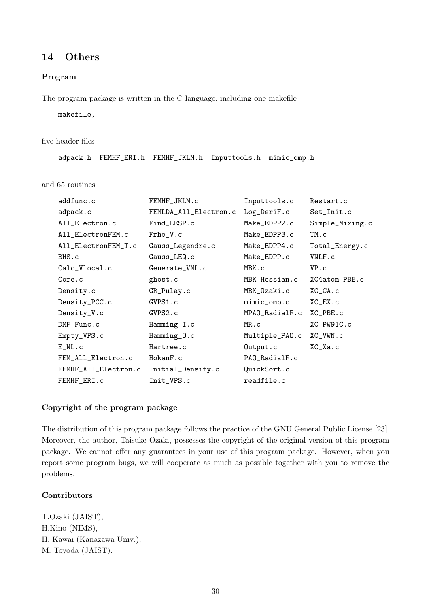## 14 Others

### Program

The program package is written in the C language, including one makefile

makefile,

#### five header files

adpack.h FEMHF\_ERI.h FEMHF\_JKLM.h Inputtools.h mimic\_omp.h

and 65 routines

| addfunc.c            | FEMHF_JKLM.c          | Inputtools.c   | Restart.c       |
|----------------------|-----------------------|----------------|-----------------|
| adpack.c             | FEMLDA_All_Electron.c | Log_DeriF.c    | Set_Init.c      |
| All_Electron.c       | Find_LESP.c           | Make_EDPP2.c   | Simple_Mixing.c |
| All_ElectronFEM.c    | Frho_V.c              | Make_EDPP3.c   | TM.c            |
| All_ElectronFEM_T.c  | Gauss_Legendre.c      | Make_EDPP4.c   | Total_Energy.c  |
| BHS.c                | Gauss_LEQ.c           | Make_EDPP.c    | VNLF.c          |
| Calc_Vlocal.c        | Generate_VNL.c        | MBK.c          | VP.c            |
| Core.c               | ghost.c               | MBK_Hessian.c  | XC4atom_PBE.c   |
| Density.c            | GR_Pulay.c            | MBK_Ozaki.c    | $XC_C A$ . $C$  |
| Density_PCC.c        | GVPS1.c               | mimic_omp.c    | $XC$ $EX.c$     |
| Density_V.c          | GVPS2.c               | MPAO_RadialF.c | XC_PBE.c        |
| DMF_Func.c           | Hamming_I.c           | MR.c           | XC_PW91C.c      |
| Empty_VPS.c          | Hamming_0.c           | Multiple_PAO.c | XC_VWN.c        |
| $E_NL.c$             | Hartree.c             | Output.c       | $XC_Xa.c$       |
| FEM_All_Electron.c   | HokanF.c              | PAO_RadialF.c  |                 |
| FEMHF_All_Electron.c | Initial_Density.c     | QuickSort.c    |                 |
| FEMHF_ERI.c          | Init_VPS.c            | readfile.c     |                 |

#### Copyright of the program package

The distribution of this program package follows the practice of the GNU General Public License [23]. Moreover, the author, Taisuke Ozaki, possesses the copyright of the original version of this program package. We cannot offer any guarantees in your use of this program package. However, when you report some program bugs, we will cooperate as much as possible together with you to remove the problems.

### **Contributors**

T.Ozaki (JAIST), H.Kino (NIMS), H. Kawai (Kanazawa Univ.), M. Toyoda (JAIST).